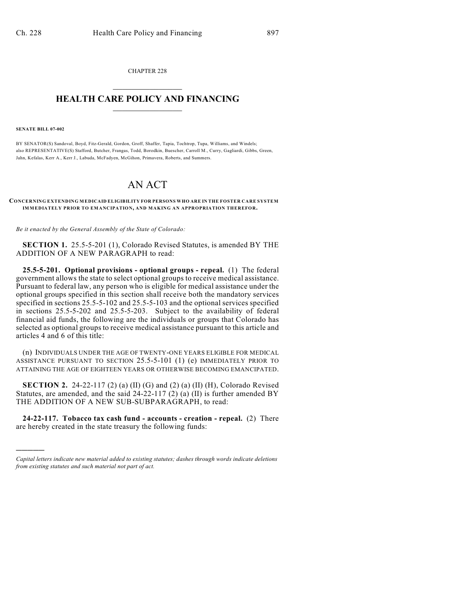CHAPTER 228  $\overline{\phantom{a}}$  . The set of the set of the set of the set of the set of the set of the set of the set of the set of the set of the set of the set of the set of the set of the set of the set of the set of the set of the set o

## **HEALTH CARE POLICY AND FINANCING**  $\_$   $\_$   $\_$   $\_$   $\_$   $\_$   $\_$   $\_$

**SENATE BILL 07-002**

)))))

BY SENATOR(S) Sandoval, Boyd, Fitz-Gerald, Gordon, Groff, Shaffer, Tapia, Tochtrop, Tupa, Williams, and Windels; also REPRESENTATIVE(S) Stafford, Butcher, Frangas, Todd, Borodkin, Buescher, Carroll M., Curry, Gagliardi, Gibbs, Green, Jahn, Kefalas, Kerr A., Kerr J., Labuda, McFadyen, McGihon, Primavera, Roberts, and Summers.

## AN ACT

## **CONCERNING EXTENDING MEDICAID ELIGIBILITY FOR PERSONS WHO ARE IN THE FOSTER CARE SYSTEM IMMEDIATELY PRIOR TO EMANCIPATION, AND MAKING AN APPROPRIATION THEREFOR.**

*Be it enacted by the General Assembly of the State of Colorado:*

**SECTION 1.** 25.5-5-201 (1), Colorado Revised Statutes, is amended BY THE ADDITION OF A NEW PARAGRAPH to read:

**25.5-5-201. Optional provisions - optional groups - repeal.** (1) The federal government allows the state to select optional groups to receive medical assistance. Pursuant to federal law, any person who is eligible for medical assistance under the optional groups specified in this section shall receive both the mandatory services specified in sections 25.5-5-102 and 25.5-5-103 and the optional services specified in sections 25.5-5-202 and 25.5-5-203. Subject to the availability of federal financial aid funds, the following are the individuals or groups that Colorado has selected as optional groups to receive medical assistance pursuant to this article and articles 4 and 6 of this title:

(n) INDIVIDUALS UNDER THE AGE OF TWENTY-ONE YEARS ELIGIBLE FOR MEDICAL ASSISTANCE PURSUANT TO SECTION 25.5-5-101 (1) (e) IMMEDIATELY PRIOR TO ATTAINING THE AGE OF EIGHTEEN YEARS OR OTHERWISE BECOMING EMANCIPATED.

**SECTION 2.** 24-22-117 (2) (a) (II) (G) and (2) (a) (II) (H), Colorado Revised Statutes, are amended, and the said 24-22-117 (2) (a) (II) is further amended BY THE ADDITION OF A NEW SUB-SUBPARAGRAPH, to read:

**24-22-117. Tobacco tax cash fund - accounts - creation - repeal.** (2) There are hereby created in the state treasury the following funds:

*Capital letters indicate new material added to existing statutes; dashes through words indicate deletions from existing statutes and such material not part of act.*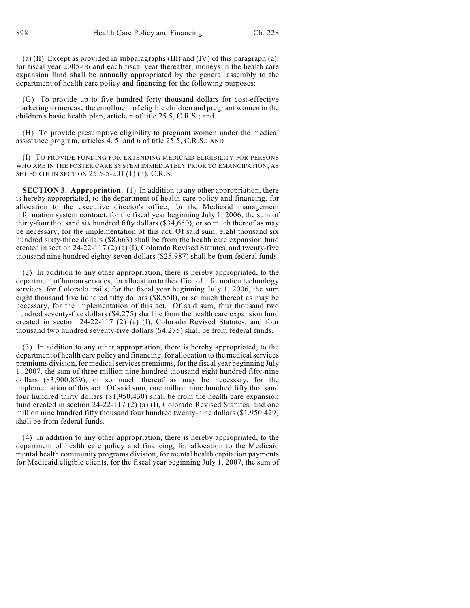(a) (II) Except as provided in subparagraphs (III) and (IV) of this paragraph (a), for fiscal year 2005-06 and each fiscal year thereafter, moneys in the health care expansion fund shall be annually appropriated by the general assembly to the department of health care policy and financing for the following purposes:

(G) To provide up to five hundred forty thousand dollars for cost-effective marketing to increase the enrollment of eligible children and pregnant women in the children's basic health plan, article 8 of title 25.5, C.R.S.; and

(H) To provide presumptive eligibility to pregnant women under the medical assistance program, articles 4, 5, and 6 of title 25.5, C.R.S.; AND

(I) TO PROVIDE FUNDING FOR EXTENDING MEDICAID ELIGIBILITY FOR PERSONS WHO ARE IN THE FOSTER CARE SYSTEM IMMEDIATELY PRIOR TO EMANCIPATION, AS SET FORTH IN SECTION 25.5-5-201 (1) (n), C.R.S.

**SECTION 3. Appropriation.** (1) In addition to any other appropriation, there is hereby appropriated, to the department of health care policy and financing, for allocation to the executive director's office, for the Medicaid management information system contract, for the fiscal year beginning July 1, 2006, the sum of thirty-four thousand six hundred fifty dollars (\$34,650), or so much thereof as may be necessary, for the implementation of this act. Of said sum, eight thousand six hundred sixty-three dollars (\$8,663) shall be from the health care expansion fund created in section 24-22-117 (2) (a) (I), Colorado Revised Statutes, and twenty-five thousand nine hundred eighty-seven dollars (\$25,987) shall be from federal funds.

(2) In addition to any other appropriation, there is hereby appropriated, to the department of human services, for allocation to the office of information technology services, for Colorado trails, for the fiscal year beginning July 1, 2006, the sum eight thousand five hundred fifty dollars (\$8,550), or so much thereof as may be necessary, for the implementation of this act. Of said sum, four thousand two hundred seventy-five dollars (\$4,275) shall be from the health care expansion fund created in section 24-22-117 (2) (a) (I), Colorado Revised Statutes, and four thousand two hundred seventy-five dollars (\$4,275) shall be from federal funds.

(3) In addition to any other appropriation, there is hereby appropriated, to the department of health care policy and financing, for allocation to the medical services premiums division, for medical services premiums, for the fiscal year beginning July 1, 2007, the sum of three million nine hundred thousand eight hundred fifty-nine dollars (\$3,900,859), or so much thereof as may be necessary, for the implementation of this act. Of said sum, one million nine hundred fifty thousand four hundred thirty dollars (\$1,950,430) shall be from the health care expansion fund created in section 24-22-117 (2) (a) (I), Colorado Revised Statutes, and one million nine hundred fifty thousand four hundred twenty-nine dollars (\$1,950,429) shall be from federal funds.

(4) In addition to any other appropriation, there is hereby appropriated, to the department of health care policy and financing, for allocation to the Medicaid mental health community programs division, for mental health capitation payments for Medicaid eligible clients, for the fiscal year beginning July 1, 2007, the sum of